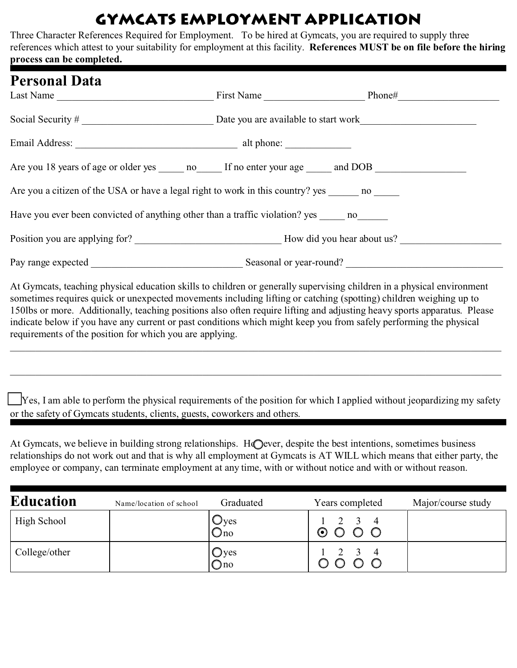## Gymcats Employment Application

Three Character References Required for Employment. To be hired at Gymcats, you are required to supply three references which attest to your suitability for employment at this facility. **References MUST be on file before the hiring process can be completed.**

| <b>Personal Data</b><br>Last Name                                                                             | First Name Phone# |  |
|---------------------------------------------------------------------------------------------------------------|-------------------|--|
|                                                                                                               |                   |  |
|                                                                                                               |                   |  |
|                                                                                                               |                   |  |
| Are you 18 years of age or older yes _______ no _______ If no enter your age ______ and DOB _________________ |                   |  |
| Are you a citizen of the USA or have a legal right to work in this country? yes no                            |                   |  |
| Have you ever been convicted of anything other than a traffic violation? yes no                               |                   |  |
|                                                                                                               |                   |  |
|                                                                                                               |                   |  |

At Gymcats, teaching physical education skills to children or generally supervising children in a physical environment sometimes requires quick or unexpected movements including lifting or catching (spotting) children weighing up to 150lbs or more. Additionally, teaching positions also often require lifting and adjusting heavy sports apparatus. Please indicate below if you have any current or past conditions which might keep you from safely performing the physical requirements of the position for which you are applying.

\_\_\_\_\_\_\_\_\_\_\_\_\_\_\_\_\_\_\_\_\_\_\_\_\_\_\_\_\_\_\_\_\_\_\_\_\_\_\_\_\_\_\_\_\_\_\_\_\_\_\_\_\_\_\_\_\_\_\_\_\_\_\_\_\_\_\_\_\_\_\_\_\_\_\_\_\_\_\_\_\_\_\_\_\_\_\_\_\_\_\_\_\_\_\_\_\_

\_\_\_\_\_\_\_\_\_\_\_\_\_\_\_\_\_\_\_\_\_\_\_\_\_\_\_\_\_\_\_\_\_\_\_\_\_\_\_\_\_\_\_\_\_\_\_\_\_\_\_\_\_\_\_\_\_\_\_\_\_\_\_\_\_\_\_\_\_\_\_\_\_\_\_\_\_\_\_\_\_\_\_\_\_\_\_\_\_\_\_\_\_\_\_\_\_

9Yes, I am able to perform the physical requirements of the position for which I applied without jeopardizing my safety or the safety of Gymcats students, clients, guests, coworkers and others.

At Gymcats, we believe in building strong relationships. HO ever, despite the best intentions, sometimes business relationships do not work out and that is why all employment at Gymcats is AT WILL which means that either party, the employee or company, can terminate employment at any time, with or without notice and with or without reason.

| <b>Education</b> | Name/location of school | Graduated                     | Years completed                           | Major/course study |
|------------------|-------------------------|-------------------------------|-------------------------------------------|--------------------|
| High School      |                         | $\cup$ yes<br>$Q_{\text{no}}$ | $2 \quad 3 \quad 4$<br>⊙                  |                    |
| College/other    |                         | Oyes<br>Qno                   | $\frac{2}{2}$ $\frac{3}{2}$ $\frac{4}{2}$ |                    |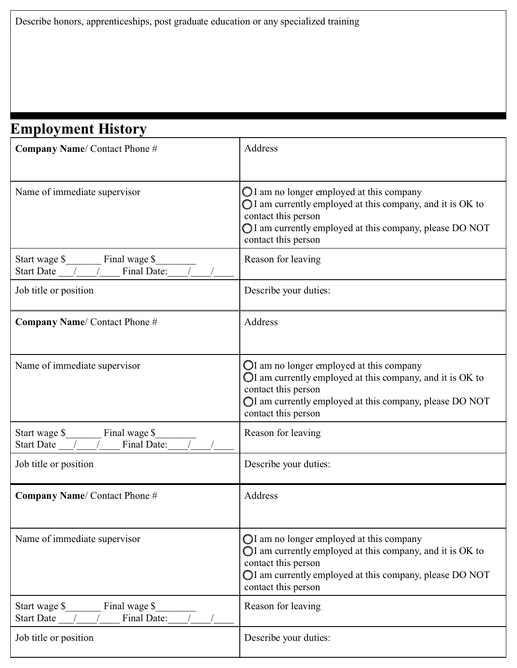## **Employment History**

| <b>Company Name/Contact Phone #</b>                                | Address                                                                                                                                                                                                                  |
|--------------------------------------------------------------------|--------------------------------------------------------------------------------------------------------------------------------------------------------------------------------------------------------------------------|
| Name of immediate supervisor                                       | $\bigcirc$ I am no longer employed at this company<br>OI am currently employed at this company, and it is OK to<br>contact this person<br>I am currently employed at this company, please DO NOT<br>contact this person  |
| Start wage \$ Final wage \$<br>Final Date:<br><b>Start Date</b>    | Reason for leaving                                                                                                                                                                                                       |
| Job title or position                                              | Describe your duties:                                                                                                                                                                                                    |
| Company Name/ Contact Phone #                                      | Address                                                                                                                                                                                                                  |
| Name of immediate supervisor                                       | OI am no longer employed at this company<br>OI am currently employed at this company, and it is OK to<br>contact this person<br>OI am currently employed at this company, please DO NOT<br>contact this person           |
| Final wage \$<br>Start wage \$<br>Final Date:<br><b>Start Date</b> | Reason for leaving                                                                                                                                                                                                       |
| Job title or position                                              | Describe your duties:                                                                                                                                                                                                    |
| <b>Company Name/Contact Phone #</b>                                | Address                                                                                                                                                                                                                  |
| Name of immediate supervisor                                       | $\bigcirc$ I am no longer employed at this company<br>OI am currently employed at this company, and it is OK to<br>contact this person<br>OI am currently employed at this company, please DO NOT<br>contact this person |
| Final wage \$<br>Start wage \$<br>Final Date:<br>Start Date /      | Reason for leaving                                                                                                                                                                                                       |
| Job title or position                                              | Describe your duties:                                                                                                                                                                                                    |